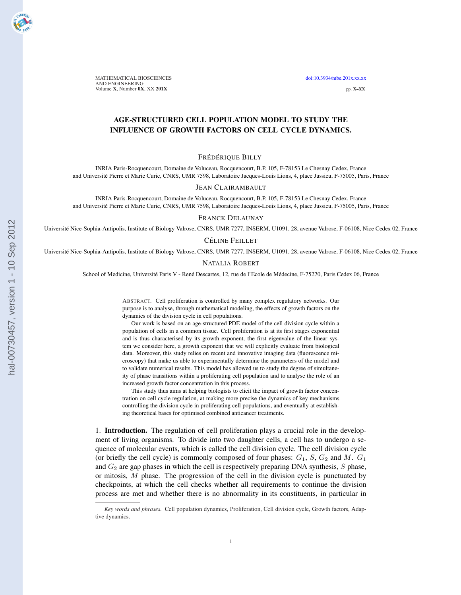MATHEMATICAL BIOSCIENCES doi:10.3934/mbe.201x.xx.xx AND ENGINEERING Volume X, Number 0X, XX 201X pp. X–XX

# AGE-STRUCTURED CELL POPULATION MODEL TO STUDY THE INFLUENCE OF GROWTH FACTORS ON CELL CYCLE DYNAMICS.

## FRÉDÉRIQUE BILLY

INRIA Paris-Rocquencourt, Domaine de Voluceau, Rocquencourt, B.P. 105, F-78153 Le Chesnay Cedex, France and Universite Pierre et Marie Curie, CNRS, UMR 7598, Laboratoire Jacques-Louis Lions, 4, place Jussieu, F-75005, Paris, France ´

### JEAN CLAIRAMBAULT

INRIA Paris-Rocquencourt, Domaine de Voluceau, Rocquencourt, B.P. 105, F-78153 Le Chesnay Cedex, France and Université Pierre et Marie Curie, CNRS, UMR 7598, Laboratoire Jacques-Louis Lions, 4, place Jussieu, F-75005, Paris, France

#### FRANCK DELAUNAY

Universite Nice-Sophia-Antipolis, Institute of Biology Valrose, CNRS, UMR 7277, INSERM, U1091, 28, avenue Valrose, F-06108, Nice Cedex 02, France ´

CÉLINE FEILLET

Universite Nice-Sophia-Antipolis, Institute of Biology Valrose, CNRS, UMR 7277, INSERM, U1091, 28, avenue Valrose, F-06108, Nice Cedex 02, France ´

### NATALIA ROBERT

School of Medicine, Université Paris V - René Descartes, 12, rue de l'Ecole de Médecine, F-75270, Paris Cedex 06, France

ABSTRACT. Cell proliferation is controlled by many complex regulatory networks. Our purpose is to analyse, through mathematical modeling, the effects of growth factors on the dynamics of the division cycle in cell populations.

Our work is based on an age-structured PDE model of the cell division cycle within a population of cells in a common tissue. Cell proliferation is at its first stages exponential and is thus characterised by its growth exponent, the first eigenvalue of the linear system we consider here, a growth exponent that we will explicitly evaluate from biological data. Moreover, this study relies on recent and innovative imaging data (fluorescence microscopy) that make us able to experimentally determine the parameters of the model and to validate numerical results. This model has allowed us to study the degree of simultaneity of phase transitions within a proliferating cell population and to analyse the role of an increased growth factor concentration in this process.

This study thus aims at helping biologists to elicit the impact of growth factor concentration on cell cycle regulation, at making more precise the dynamics of key mechanisms controlling the division cycle in proliferating cell populations, and eventually at establishing theoretical bases for optimised combined anticancer treatments.

1. Introduction. The regulation of cell proliferation plays a crucial role in the development of living organisms. To divide into two daughter cells, a cell has to undergo a sequence of molecular events, which is called the cell division cycle. The cell division cycle (or briefly the cell cycle) is commonly composed of four phases:  $G_1$ ,  $S$ ,  $G_2$  and  $M$ .  $G_1$ and  $G_2$  are gap phases in which the cell is respectively preparing DNA synthesis,  $S$  phase, or mitosis,  $M$  phase. The progression of the cell in the division cycle is punctuated by checkpoints, at which the cell checks whether all requirements to continue the division process are met and whether there is no abnormality in its constituents, in particular in

*Key words and phrases.* Cell population dynamics, Proliferation, Cell division cycle, Growth factors, Adaptive dynamics.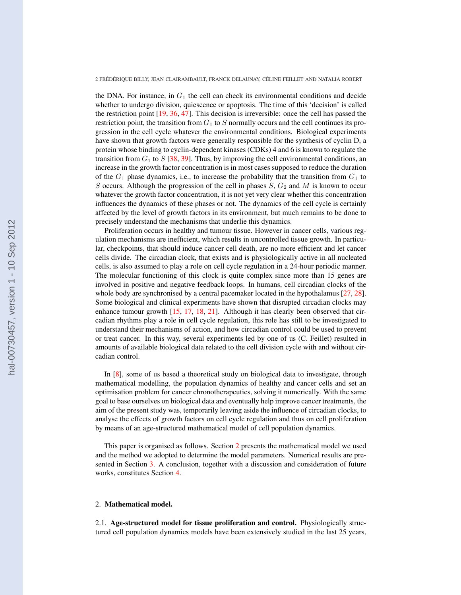the DNA. For instance, in  $G_1$  the cell can check its environmental conditions and decide whether to undergo division, quiescence or apoptosis. The time of this 'decision' is called the restriction point [19, 36, 47]. This decision is irreversible: once the cell has passed the restriction point, the transition from  $G_1$  to S normally occurs and the cell continues its progression in the cell cycle whatever the environmental conditions. Biological experiments have shown that growth factors were generally responsible for the synthesis of cyclin D, a protein whose binding to cyclin-dependent kinases (CDKs) 4 and 6 is known to regulate the transition from  $G_1$  to  $S$  [38, 39]. Thus, by improving the cell environmental conditions, an increase in the growth factor concentration is in most cases supposed to reduce the duration of the  $G_1$  phase dynamics, i.e., to increase the probability that the transition from  $G_1$  to S occurs. Although the progression of the cell in phases  $S$ ,  $G_2$  and  $M$  is known to occur whatever the growth factor concentration, it is not yet very clear whether this concentration influences the dynamics of these phases or not. The dynamics of the cell cycle is certainly affected by the level of growth factors in its environment, but much remains to be done to precisely understand the mechanisms that underlie this dynamics.

Proliferation occurs in healthy and tumour tissue. However in cancer cells, various regulation mechanisms are inefficient, which results in uncontrolled tissue growth. In particular, checkpoints, that should induce cancer cell death, are no more efficient and let cancer cells divide. The circadian clock, that exists and is physiologically active in all nucleated cells, is also assumed to play a role on cell cycle regulation in a 24-hour periodic manner. The molecular functioning of this clock is quite complex since more than 15 genes are involved in positive and negative feedback loops. In humans, cell circadian clocks of the whole body are synchronised by a central pacemaker located in the hypothalamus [27, 28]. Some biological and clinical experiments have shown that disrupted circadian clocks may enhance tumour growth [15, 17, 18, 21]. Although it has clearly been observed that circadian rhythms play a role in cell cycle regulation, this role has still to be investigated to understand their mechanisms of action, and how circadian control could be used to prevent or treat cancer. In this way, several experiments led by one of us (C. Feillet) resulted in amounts of available biological data related to the cell division cycle with and without circadian control.

In [8], some of us based a theoretical study on biological data to investigate, through mathematical modelling, the population dynamics of healthy and cancer cells and set an optimisation problem for cancer chronotherapeutics, solving it numerically. With the same goal to base ourselves on biological data and eventually help improve cancer treatments, the aim of the present study was, temporarily leaving aside the influence of circadian clocks, to analyse the effects of growth factors on cell cycle regulation and thus on cell proliferation by means of an age-structured mathematical model of cell population dynamics.

This paper is organised as follows. Section 2 presents the mathematical model we used and the method we adopted to determine the model parameters. Numerical results are presented in Section 3. A conclusion, together with a discussion and consideration of future works, constitutes Section 4.

## 2. Mathematical model.

2.1. Age-structured model for tissue proliferation and control. Physiologically structured cell population dynamics models have been extensively studied in the last 25 years,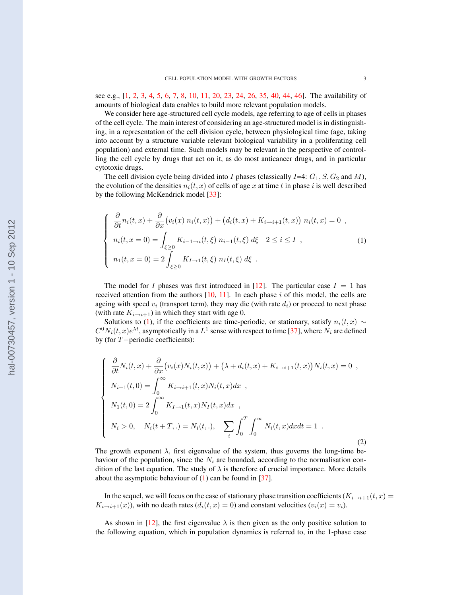see e.g., [1, 2, 3, 4, 5, 6, 7, 8, 10, 11, 20, 23, 24, 26, 35, 40, 44, 46]. The availability of amounts of biological data enables to build more relevant population models.

We consider here age-structured cell cycle models, age referring to age of cells in phases of the cell cycle. The main interest of considering an age-structured model is in distinguishing, in a representation of the cell division cycle, between physiological time (age, taking into account by a structure variable relevant biological variability in a proliferating cell population) and external time. Such models may be relevant in the perspective of controlling the cell cycle by drugs that act on it, as do most anticancer drugs, and in particular cytotoxic drugs.

The cell division cycle being divided into I phases (classically  $I=4: G_1, S, G_2$  and M), the evolution of the densities  $n_i(t, x)$  of cells of age x at time t in phase i is well described by the following McKendrick model [33]:

$$
\begin{cases}\n\frac{\partial}{\partial t}n_i(t, x) + \frac{\partial}{\partial x}(v_i(x) n_i(t, x)) + (d_i(t, x) + K_{i \to i+1}(t, x)) n_i(t, x) = 0, \\
n_i(t, x = 0) = \int_{\xi \ge 0} K_{i-1 \to i}(t, \xi) n_{i-1}(t, \xi) d\xi \quad 2 \le i \le I, \\
n_1(t, x = 0) = 2 \int_{\xi \ge 0} K_{I \to 1}(t, \xi) n_I(t, \xi) d\xi .\n\end{cases} (1)
$$

The model for I phases was first introduced in [12]. The particular case  $I = 1$  has received attention from the authors  $[10, 11]$ . In each phase i of this model, the cells are ageing with speed  $v_i$  (transport term), they may die (with rate  $d_i$ ) or proceed to next phase (with rate  $K_{i\rightarrow i+1}$ ) in which they start with age 0.

Solutions to (1), if the coefficients are time-periodic, or stationary, satisfy  $n_i(t, x) \sim$  $C^0N_i(t,x)e^{\lambda t}$ , asymptotically in a  $L^1$  sense with respect to time [37], where  $N_i$  are defined by (for T−periodic coefficients):

$$
\begin{cases}\n\frac{\partial}{\partial t}N_i(t,x) + \frac{\partial}{\partial x}(v_i(x)N_i(t,x)) + (\lambda + d_i(t,x) + K_{i \to i+1}(t,x))N_i(t,x) = 0, \\
N_{i+1}(t,0) = \int_0^\infty K_{i \to i+1}(t,x)N_i(t,x)dx, \\
N_1(t,0) = 2 \int_0^\infty K_{I \to 1}(t,x)N_I(t,x)dx, \\
N_i > 0, \quad N_i(t+T,.) = N_i(t,.), \quad \sum_i \int_0^T \int_0^\infty N_i(t,x)dxdt = 1.\n\end{cases}
$$
\n(2)

The growth exponent  $\lambda$ , first eigenvalue of the system, thus governs the long-time behaviour of the population, since the  $N_i$  are bounded, according to the normalisation condition of the last equation. The study of  $\lambda$  is therefore of crucial importance. More details about the asymptotic behaviour of  $(1)$  can be found in [37].

In the sequel, we will focus on the case of stationary phase transition coefficients  $(K_{i\to i+1}(t, x))$  $K_{i\rightarrow i+1}(x)$ ), with no death rates  $(d_i(t, x) = 0)$  and constant velocities  $(v_i(x) = v_i)$ .

As shown in [12], the first eigenvalue  $\lambda$  is then given as the only positive solution to the following equation, which in population dynamics is referred to, in the 1-phase case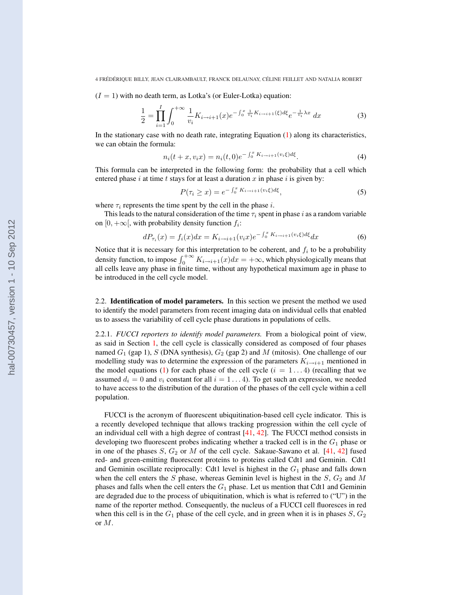$(I = 1)$  with no death term, as Lotka's (or Euler-Lotka) equation:

$$
\frac{1}{2} = \prod_{i=1}^{I} \int_{0}^{+\infty} \frac{1}{v_i} K_{i \to i+1}(x) e^{-\int_{0}^{x} \frac{1}{v_i} K_{i \to i+1}(\xi) d\xi} e^{-\frac{1}{v_i} \lambda x} dx \tag{3}
$$

In the stationary case with no death rate, integrating Equation  $(1)$  along its characteristics, we can obtain the formula:

$$
n_i(t+x, v_i x) = n_i(t, 0)e^{-\int_0^x K_{i \to i+1}(v_i \xi) d\xi}.
$$
 (4)

This formula can be interpreted in the following form: the probability that a cell which entered phase i at time t stays for at least a duration  $x$  in phase i is given by:

$$
P(\tau_i \ge x) = e^{-\int_0^x K_{i \to i+1}(v_i \xi) d\xi}, \tag{5}
$$

where  $\tau_i$  represents the time spent by the cell in the phase i.

This leads to the natural consideration of the time  $\tau_i$  spent in phase i as a random variable on [0, + $\infty$ [, with probability density function  $f_i$ :

$$
dP_{\tau_i}(x) = f_i(x)dx = K_{i \to i+1}(v_i x)e^{-\int_0^x K_{i \to i+1}(v_i \xi) d\xi} dx
$$
\n(6)

Notice that it is necessary for this interpretation to be coherent, and  $f_i$  to be a probability density function, to impose  $\int_0^{+\infty} K_{i\to i+1}(x)dx = +\infty$ , which physiologically means that all cells leave any phase in finite time, without any hypothetical maximum age in phase to be introduced in the cell cycle model.

2.2. Identification of model parameters. In this section we present the method we used to identify the model parameters from recent imaging data on individual cells that enabled us to assess the variability of cell cycle phase durations in populations of cells.

2.2.1. *FUCCI reporters to identify model parameters.* From a biological point of view, as said in Section 1, the cell cycle is classically considered as composed of four phases named  $G_1$  (gap 1), S (DNA synthesis),  $G_2$  (gap 2) and M (mitosis). One challenge of our modelling study was to determine the expression of the parameters  $K_{i\rightarrow i+1}$  mentioned in the model equations (1) for each phase of the cell cycle  $(i = 1...4)$  (recalling that we assumed  $d_i = 0$  and  $v_i$  constant for all  $i = 1 \dots 4$ ). To get such an expression, we needed to have access to the distribution of the duration of the phases of the cell cycle within a cell population.

FUCCI is the acronym of fluorescent ubiquitination-based cell cycle indicator. This is a recently developed technique that allows tracking progression within the cell cycle of an individual cell with a high degree of contrast [41, 42]. The FUCCI method consists in developing two fluorescent probes indicating whether a tracked cell is in the  $G_1$  phase or in one of the phases  $S$ ,  $G_2$  or M of the cell cycle. Sakaue-Sawano et al. [41, 42] fused red- and green-emitting fluorescent proteins to proteins called Cdt1 and Geminin. Cdt1 and Geminin oscillate reciprocally: Cdt1 level is highest in the  $G_1$  phase and falls down when the cell enters the  $S$  phase, whereas Geminin level is highest in the  $S$ ,  $G_2$  and  $M$ phases and falls when the cell enters the  $G_1$  phase. Let us mention that Cdt1 and Geminin are degraded due to the process of ubiquitination, which is what is referred to ("U") in the name of the reporter method. Consequently, the nucleus of a FUCCI cell fluoresces in red when this cell is in the  $G_1$  phase of the cell cycle, and in green when it is in phases  $S, G_2$ or M.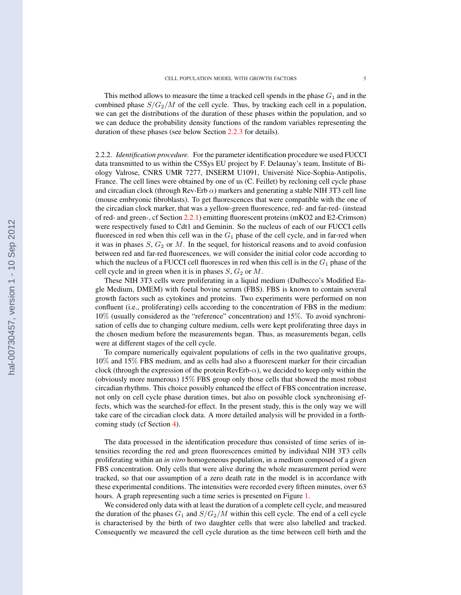This method allows to measure the time a tracked cell spends in the phase  $G_1$  and in the combined phase  $S/G_2/M$  of the cell cycle. Thus, by tracking each cell in a population, we can get the distributions of the duration of these phases within the population, and so we can deduce the probability density functions of the random variables representing the duration of these phases (see below Section 2.2.3 for details).

2.2.2. *Identification procedure.* For the parameter identification procedure we used FUCCI data transmitted to us within the C5Sys EU project by F. Delaunay's team, Institute of Biology Valrose, CNRS UMR 7277, INSERM U1091, Université Nice-Sophia-Antipolis, France. The cell lines were obtained by one of us (C. Feillet) by recloning cell cycle phase and circadian clock (through Rev-Erb  $\alpha$ ) markers and generating a stable NIH 3T3 cell line (mouse embryonic fibroblasts). To get fluorescences that were compatible with the one of the circadian clock marker, that was a yellow-green fluorescence, red- and far-red- (instead of red- and green-, cf Section 2.2.1) emitting fluorescent proteins (mKO2 and E2-Crimson) were respectively fused to Cdt1 and Geminin. So the nucleus of each of our FUCCI cells fluoresced in red when this cell was in the  $G_1$  phase of the cell cycle, and in far-red when it was in phases  $S, G_2$  or M. In the sequel, for historical reasons and to avoid confusion between red and far-red fluorescences, we will consider the initial color code according to which the nucleus of a FUCCI cell fluoresces in red when this cell is in the  $G_1$  phase of the cell cycle and in green when it is in phases  $S, G_2$  or  $M$ .

These NIH 3T3 cells were proliferating in a liquid medium (Dulbecco's Modified Eagle Medium, DMEM) with foetal bovine serum (FBS). FBS is known to contain several growth factors such as cytokines and proteins. Two experiments were performed on non confluent (i.e., proliferating) cells according to the concentration of FBS in the medium: 10% (usually considered as the "reference" concentration) and 15%. To avoid synchronisation of cells due to changing culture medium, cells were kept proliferating three days in the chosen medium before the measurements began. Thus, as measurements began, cells were at different stages of the cell cycle.

To compare numerically equivalent populations of cells in the two qualitative groups, 10% and 15% FBS medium, and as cells had also a fluorescent marker for their circadian clock (through the expression of the protein RevErb- $\alpha$ ), we decided to keep only within the (obviously more numerous) 15% FBS group only those cells that showed the most robust circadian rhythms. This choice possibly enhanced the effect of FBS concentration increase, not only on cell cycle phase duration times, but also on possible clock synchronising effects, which was the searched-for effect. In the present study, this is the only way we will take care of the circadian clock data. A more detailed analysis will be provided in a forthcoming study (cf Section 4).

The data processed in the identification procedure thus consisted of time series of intensities recording the red and green fluorescences emitted by individual NIH 3T3 cells proliferating within an *in vitro* homogeneous population, in a medium composed of a given FBS concentration. Only cells that were alive during the whole measurement period were tracked, so that our assumption of a zero death rate in the model is in accordance with these experimental conditions. The intensities were recorded every fifteen minutes, over 63 hours. A graph representing such a time series is presented on Figure 1.

We considered only data with at least the duration of a complete cell cycle, and measured the duration of the phases  $G_1$  and  $S/G_2/M$  within this cell cycle. The end of a cell cycle is characterised by the birth of two daughter cells that were also labelled and tracked. Consequently we measured the cell cycle duration as the time between cell birth and the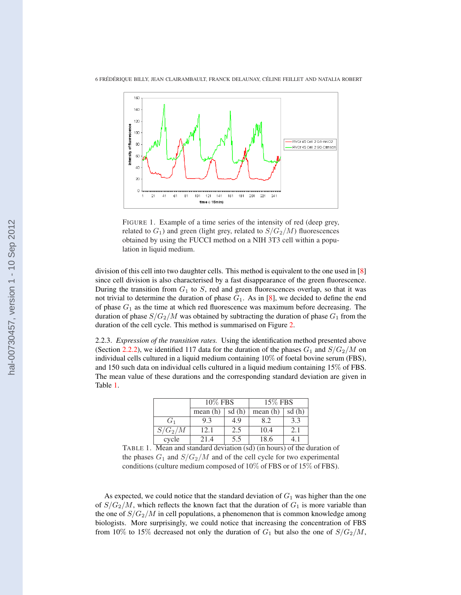

FIGURE 1. Example of a time series of the intensity of red (deep grey, related to  $G_1$ ) and green (light grey, related to  $S/G_2/M$ ) fluorescences obtained by using the FUCCI method on a NIH 3T3 cell within a population in liquid medium.

division of this cell into two daughter cells. This method is equivalent to the one used in [8] since cell division is also characterised by a fast disappearance of the green fluorescence. During the transition from  $G_1$  to S, red and green fluorescences overlap, so that it was not trivial to determine the duration of phase  $G_1$ . As in [8], we decided to define the end of phase  $G_1$  as the time at which red fluorescence was maximum before decreasing. The duration of phase  $S/G_2/M$  was obtained by subtracting the duration of phase  $G_1$  from the duration of the cell cycle. This method is summarised on Figure 2.

2.2.3. *Expression of the transition rates.* Using the identification method presented above (Section 2.2.2), we identified 117 data for the duration of the phases  $G_1$  and  $S/G_2/M$  on individual cells cultured in a liquid medium containing 10% of foetal bovine serum (FBS), and 150 such data on individual cells cultured in a liquid medium containing 15% of FBS. The mean value of these durations and the corresponding standard deviation are given in Table 1.

|                | 10% FBS |       | 15\% FBS |       |
|----------------|---------|-------|----------|-------|
|                | mean(h) | sd(h) | mean(h)  | sd(h) |
| G <sub>1</sub> | 9.3     | 4.9   | 8.2      | 3.3   |
| $S/G_2/M$      | 12.1    | 2.5   | 10.4     | 2.1   |
| cycle          | 21.4    | 5.5   | 18.6     |       |

TABLE 1. Mean and standard deviation (sd) (in hours) of the duration of the phases  $G_1$  and  $S/G_2/M$  and of the cell cycle for two experimental conditions (culture medium composed of 10% of FBS or of 15% of FBS).

As expected, we could notice that the standard deviation of  $G_1$  was higher than the one of  $S/G_2/M$ , which reflects the known fact that the duration of  $G_1$  is more variable than the one of  $S/G_2/M$  in cell populations, a phenomenon that is common knowledge among biologists. More surprisingly, we could notice that increasing the concentration of FBS from 10% to 15% decreased not only the duration of  $G_1$  but also the one of  $S/G_2/M$ ,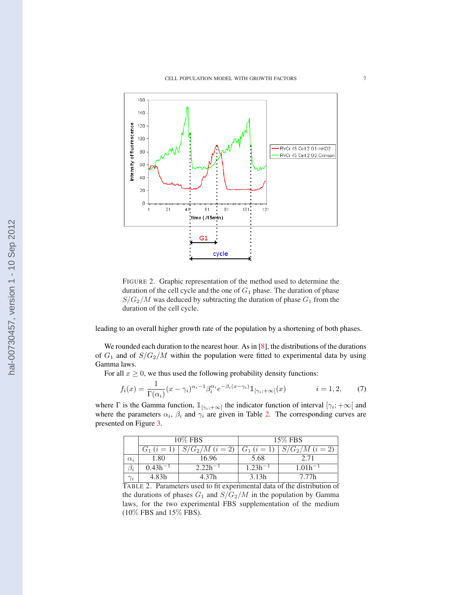

FIGURE 2. Graphic representation of the method used to determine the duration of the cell cycle and the one of  $G_1$  phase. The duration of phase  $S/G_2/M$  was deduced by subtracting the duration of phase  $G_1$  from the duration of the cell cycle.

leading to an overall higher growth rate of the population by a shortening of both phases.

We rounded each duration to the nearest hour. As in  $[8]$ , the distributions of the durations of  $G_1$  and of  $S/G_2/M$  within the population were fitted to experimental data by using Gamma laws.

For all  $x \geq 0$ , we thus used the following probability density functions:

$$
f_i(x) = \frac{1}{\Gamma(\alpha_i)} (x - \gamma_i)^{\alpha_i - 1} \beta_i^{\alpha_i} e^{-\beta_i (x - \gamma_i)} \mathbb{1}_{[\gamma_i; +\infty[}(x)) \qquad i = 1, 2, \qquad (7)
$$

where  $\Gamma$  is the Gamma function,  $\mathbb{1}_{[\gamma_i, +\infty[}$  the indicator function of interval  $[\gamma_i, +\infty[$  and where the parameters  $\alpha_i$ ,  $\beta_i$  and  $\gamma_i$  are given in Table 2. The corresponding curves are presented on Figure 3.

|            | 10% FBS         |                           | 15\% FBS           |                     |  |
|------------|-----------------|---------------------------|--------------------|---------------------|--|
|            | $G_1$ $(i = 1)$ | $S/G_2/M$ ( <i>i</i> = 2) | $G_1$ $(i = 1)$    | $S/G_2/M$ $(i = 2)$ |  |
| $\alpha_i$ | 1.80            | 16.96                     | 5.68               |                     |  |
| $\beta_i$  | $0.43h^{-1}$    | $2.22h^{-1}$              | 1.23h <sup>.</sup> | $1.01h^{-1}$        |  |
| $\gamma_i$ | 4.83h           | 4.37h                     | 3.13h              | 7.77h               |  |

TABLE 2. Parameters used to fit experimental data of the distribution of the durations of phases  $G_1$  and  $S/G_2/M$  in the population by Gamma laws, for the two experimental FBS supplementation of the medium (10% FBS and 15% FBS).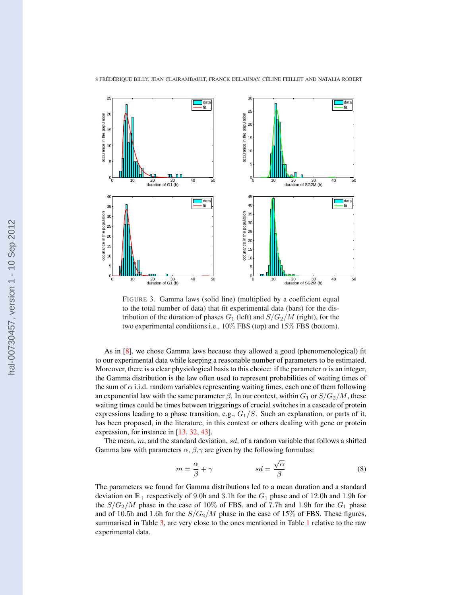

8 FRÉDÉRIQUE BILLY, JEAN CLAIRAMBAULT, FRANCK DELAUNAY, CÉLINE FEILLET AND NATALIA ROBERT



FIGURE 3. Gamma laws (solid line) (multiplied by a coefficient equal to the total number of data) that fit experimental data (bars) for the distribution of the duration of phases  $G_1$  (left) and  $S/G_2/M$  (right), for the two experimental conditions i.e., 10% FBS (top) and 15% FBS (bottom).

As in [8], we chose Gamma laws because they allowed a good (phenomenological) fit to our experimental data while keeping a reasonable number of parameters to be estimated. Moreover, there is a clear physiological basis to this choice: if the parameter  $\alpha$  is an integer, the Gamma distribution is the law often used to represent probabilities of waiting times of the sum of  $\alpha$  i.i.d. random variables representing waiting times, each one of them following an exponential law with the same parameter  $\beta$ . In our context, within  $G_1$  or  $S/G_2/M$ , these waiting times could be times between triggerings of crucial switches in a cascade of protein expressions leading to a phase transition, e.g.,  $G_1/S$ . Such an explanation, or parts of it, has been proposed, in the literature, in this context or others dealing with gene or protein expression, for instance in [13, 32, 43].

The mean,  $m$ , and the standard deviation,  $sd$ , of a random variable that follows a shifted Gamma law with parameters  $\alpha$ ,  $\beta$ , $\gamma$  are given by the following formulas:

$$
m = \frac{\alpha}{\beta} + \gamma \qquad \qquad sd = \frac{\sqrt{\alpha}}{\beta} \tag{8}
$$

The parameters we found for Gamma distributions led to a mean duration and a standard deviation on  $\mathbb{R}_+$  respectively of 9.0h and 3.1h for the  $G_1$  phase and of 12.0h and 1.9h for the  $S/G_2/M$  phase in the case of 10% of FBS, and of 7.7h and 1.9h for the  $G_1$  phase and of 10.5h and 1.6h for the  $S/G_2/M$  phase in the case of 15% of FBS. These figures, summarised in Table 3, are very close to the ones mentioned in Table 1 relative to the raw experimental data.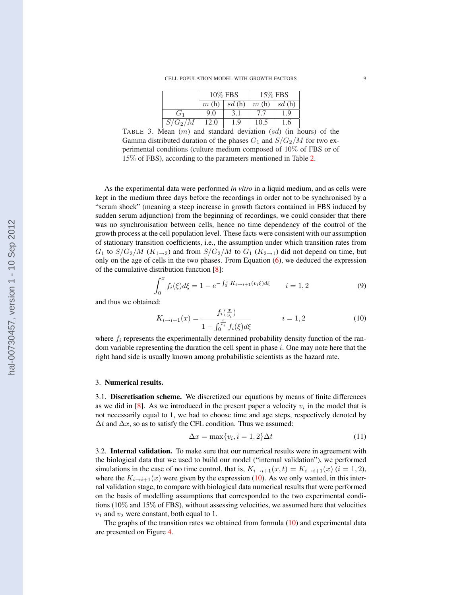CELL POPULATION MODEL WITH GROWTH FACTORS 9

|                | 10% FBS |       | 15% FBS |       |
|----------------|---------|-------|---------|-------|
|                | m(h)    | sd(h) | m(h)    | sd(h) |
| G <sub>1</sub> | 9.0     | 3.1   | 7.7     | 1.9   |
| $S/G_2/M$      | 12.0    | 1.9   | 10.5    | 1.6   |

TABLE 3. Mean  $(m)$  and standard deviation  $(sd)$  (in hours) of the Gamma distributed duration of the phases  $G_1$  and  $S/G_2/M$  for two experimental conditions (culture medium composed of 10% of FBS or of 15% of FBS), according to the parameters mentioned in Table 2.

As the experimental data were performed *in vitro* in a liquid medium, and as cells were kept in the medium three days before the recordings in order not to be synchronised by a "serum shock" (meaning a steep increase in growth factors contained in FBS induced by sudden serum adjunction) from the beginning of recordings, we could consider that there was no synchronisation between cells, hence no time dependency of the control of the growth process at the cell population level. These facts were consistent with our assumption of stationary transition coefficients, i.e., the assumption under which transition rates from  $G_1$  to  $S/G_2/M$  ( $K_{1\rightarrow 2}$ ) and from  $S/G_2/M$  to  $G_1$  ( $K_{2\rightarrow 1}$ ) did not depend on time, but only on the age of cells in the two phases. From Equation  $(6)$ , we deduced the expression of the cumulative distribution function [8]:

$$
\int_0^x f_i(\xi) d\xi = 1 - e^{-\int_0^x K_{i \to i+1}(v_i \xi) d\xi} \qquad i = 1, 2
$$
 (9)

and thus we obtained:

$$
K_{i \to i+1}(x) = \frac{f_i(\frac{x}{v_i})}{1 - \int_0^{\frac{x}{v_i}} f_i(\xi) d\xi} \qquad i = 1, 2
$$
 (10)

where  $f_i$  represents the experimentally determined probability density function of the random variable representing the duration the cell spent in phase  $i$ . One may note here that the right hand side is usually known among probabilistic scientists as the hazard rate.

#### 3. Numerical results.

3.1. Discretisation scheme. We discretized our equations by means of finite differences as we did in  $[8]$ . As we introduced in the present paper a velocity  $v_i$  in the model that is not necessarily equal to 1, we had to choose time and age steps, respectively denoted by  $\Delta t$  and  $\Delta x$ , so as to satisfy the CFL condition. Thus we assumed:

$$
\Delta x = \max\{v_i, i = 1, 2\}\Delta t \tag{11}
$$

3.2. Internal validation. To make sure that our numerical results were in agreement with the biological data that we used to build our model ("internal validation"), we performed simulations in the case of no time control, that is,  $K_{i\rightarrow i+1}(x,t) = K_{i\rightarrow i+1}(x)$   $(i = 1, 2)$ , where the  $K_{i\rightarrow i+1}(x)$  were given by the expression (10). As we only wanted, in this internal validation stage, to compare with biological data numerical results that were performed on the basis of modelling assumptions that corresponded to the two experimental conditions ( $10\%$  and  $15\%$  of FBS), without assessing velocities, we assumed here that velocities  $v_1$  and  $v_2$  were constant, both equal to 1.

The graphs of the transition rates we obtained from formula (10) and experimental data are presented on Figure 4.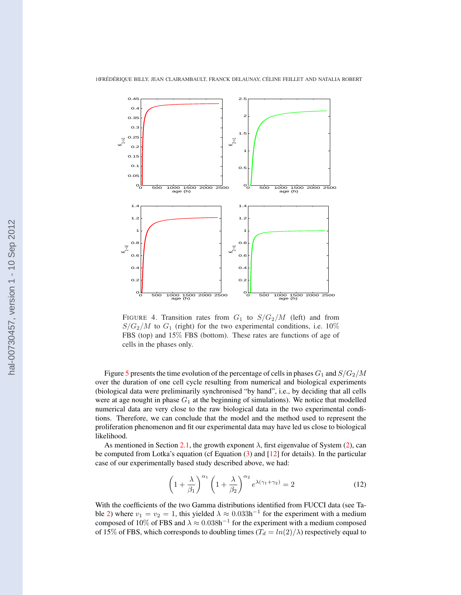

FIGURE 4. Transition rates from  $G_1$  to  $S/G_2/M$  (left) and from  $S/G_2/M$  to  $G_1$  (right) for the two experimental conditions, i.e. 10% FBS (top) and 15% FBS (bottom). These rates are functions of age of cells in the phases only.

Figure 5 presents the time evolution of the percentage of cells in phases  $G_1$  and  $S/G_2/M$ over the duration of one cell cycle resulting from numerical and biological experiments (biological data were preliminarily synchronised "by hand", i.e., by deciding that all cells were at age nought in phase  $G_1$  at the beginning of simulations). We notice that modelled numerical data are very close to the raw biological data in the two experimental conditions. Therefore, we can conclude that the model and the method used to represent the proliferation phenomenon and fit our experimental data may have led us close to biological likelihood.

As mentioned in Section 2.1, the growth exponent  $\lambda$ , first eigenvalue of System (2), can be computed from Lotka's equation (cf Equation  $(3)$  and  $[12]$  for details). In the particular case of our experimentally based study described above, we had:

$$
\left(1+\frac{\lambda}{\beta_1}\right)^{\alpha_1}\left(1+\frac{\lambda}{\beta_2}\right)^{\alpha_2}e^{\lambda(\gamma_1+\gamma_2)}=2\tag{12}
$$

With the coefficients of the two Gamma distributions identified from FUCCI data (see Table 2) where  $v_1 = v_2 = 1$ , this yielded  $\lambda \approx 0.033h^{-1}$  for the experiment with a medium composed of 10% of FBS and  $\lambda \approx 0.038h^{-1}$  for the experiment with a medium composed of 15% of FBS, which corresponds to doubling times ( $T_d = ln(2)/\lambda$ ) respectively equal to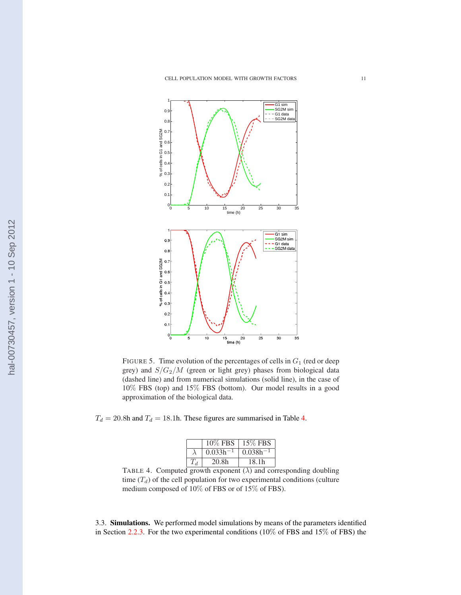

FIGURE 5. Time evolution of the percentages of cells in  $G_1$  (red or deep grey) and  $S/G_2/M$  (green or light grey) phases from biological data (dashed line) and from numerical simulations (solid line), in the case of 10% FBS (top) and 15% FBS (bottom). Our model results in a good approximation of the biological data.

 $T_d = 20.8$ h and  $T_d = 18.1$ h. These figures are summarised in Table 4.

| 10% FBS       | $15\%$ FBS    |
|---------------|---------------|
| $0.033h^{-1}$ | $0.038h^{-1}$ |
| 20.8h         | 18.1h         |

TABLE 4. Computed growth exponent  $(\lambda)$  and corresponding doubling time  $(T_d)$  of the cell population for two experimental conditions (culture medium composed of 10% of FBS or of 15% of FBS).

3.3. Simulations. We performed model simulations by means of the parameters identified in Section 2.2.3. For the two experimental conditions (10% of FBS and 15% of FBS) the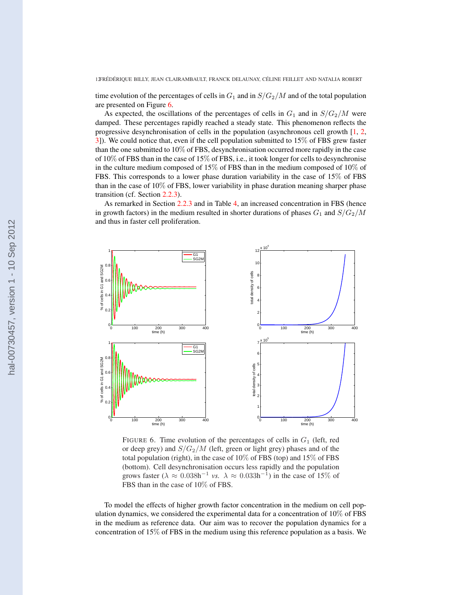time evolution of the percentages of cells in  $G_1$  and in  $S/G_2/M$  and of the total population are presented on Figure 6.

As expected, the oscillations of the percentages of cells in  $G_1$  and in  $S/G_2/M$  were damped. These percentages rapidly reached a steady state. This phenomenon reflects the progressive desynchronisation of cells in the population (asynchronous cell growth [1, 2, 3]). We could notice that, even if the cell population submitted to 15% of FBS grew faster than the one submitted to 10% of FBS, desynchronisation occurred more rapidly in the case of 10% of FBS than in the case of 15% of FBS, i.e., it took longer for cells to desynchronise in the culture medium composed of 15% of FBS than in the medium composed of 10% of FBS. This corresponds to a lower phase duration variability in the case of 15% of FBS than in the case of 10% of FBS, lower variability in phase duration meaning sharper phase transition (cf. Section 2.2.3).

As remarked in Section 2.2.3 and in Table 4, an increased concentration in FBS (hence in growth factors) in the medium resulted in shorter durations of phases  $G_1$  and  $S/G_2/M$ and thus in faster cell proliferation.



FIGURE 6. Time evolution of the percentages of cells in  $G_1$  (left, red or deep grey) and  $S/G_2/M$  (left, green or light grey) phases and of the total population (right), in the case of 10% of FBS (top) and 15% of FBS (bottom). Cell desynchronisation occurs less rapidly and the population grows faster ( $\lambda \approx 0.038h^{-1}$  *vs.*  $\lambda \approx 0.033h^{-1}$ ) in the case of 15% of FBS than in the case of 10% of FBS.

To model the effects of higher growth factor concentration in the medium on cell population dynamics, we considered the experimental data for a concentration of  $10\%$  of FBS in the medium as reference data. Our aim was to recover the population dynamics for a concentration of 15% of FBS in the medium using this reference population as a basis. We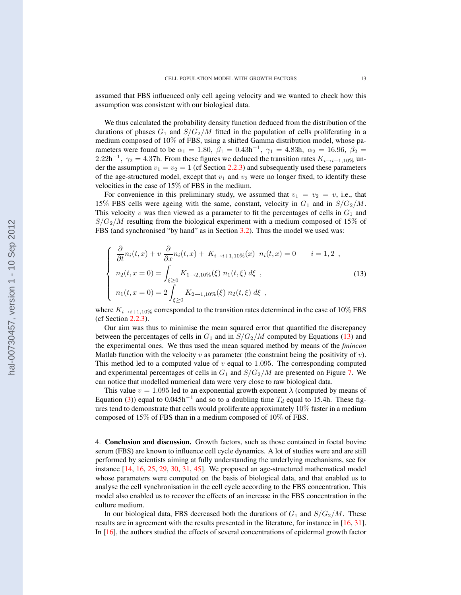assumed that FBS influenced only cell ageing velocity and we wanted to check how this assumption was consistent with our biological data.

We thus calculated the probability density function deduced from the distribution of the durations of phases  $G_1$  and  $S/G_2/M$  fitted in the population of cells proliferating in a medium composed of 10% of FBS, using a shifted Gamma distribution model, whose parameters were found to be  $\alpha_1 = 1.80$ ,  $\beta_1 = 0.43$ h<sup>-1</sup>,  $\gamma_1 = 4.83$ h,  $\alpha_2 = 16.96$ ,  $\beta_2 =$ 2.22h<sup>-1</sup>,  $\gamma_2 = 4.37$ h. From these figures we deduced the transition rates  $K_{i \to i+1,10\%}$  under the assumption  $v_1 = v_2 = 1$  (cf Section 2.2.3) and subsequently used these parameters of the age-structured model, except that  $v_1$  and  $v_2$  were no longer fixed, to identify these velocities in the case of 15% of FBS in the medium.

For convenience in this preliminary study, we assumed that  $v_1 = v_2 = v$ , i.e., that 15% FBS cells were ageing with the same, constant, velocity in  $G_1$  and in  $S/G_2/M$ . This velocity  $v$  was then viewed as a parameter to fit the percentages of cells in  $G_1$  and  $S/G_2/M$  resulting from the biological experiment with a medium composed of 15% of FBS (and synchronised "by hand" as in Section 3.2). Thus the model we used was:

$$
\begin{cases}\n\frac{\partial}{\partial t}n_i(t, x) + v \frac{\partial}{\partial x}n_i(t, x) + K_{i \to i+1, 10\%}(x) \ n_i(t, x) = 0 & i = 1, 2, \\
n_2(t, x = 0) = \int_{\xi \ge 0} K_{1 \to 2, 10\%}(\xi) \ n_1(t, \xi) \ d\xi, \\
n_1(t, x = 0) = 2 \int_{\xi \ge 0} K_{2 \to 1, 10\%}(\xi) \ n_2(t, \xi) \ d\xi,\n\end{cases}
$$
\n(13)

where  $K_{i\rightarrow i+1,10\%}$  corresponded to the transition rates determined in the case of 10% FBS (cf Section 2.2.3).

Our aim was thus to minimise the mean squared error that quantified the discrepancy between the percentages of cells in  $G_1$  and in  $S/G_2/M$  computed by Equations (13) and the experimental ones. We thus used the mean squared method by means of the *fmincon* Matlab function with the velocity  $v$  as parameter (the constraint being the positivity of  $v$ ). This method led to a computed value of  $v$  equal to 1.095. The corresponding computed and experimental percentages of cells in  $G_1$  and  $S/G_2/M$  are presented on Figure 7. We can notice that modelled numerical data were very close to raw biological data.

This value  $v = 1.095$  led to an exponential growth exponent  $\lambda$  (computed by means of Equation (3)) equal to 0.045h<sup>-1</sup> and so to a doubling time  $T_d$  equal to 15.4h. These figures tend to demonstrate that cells would proliferate approximately 10% faster in a medium composed of 15% of FBS than in a medium composed of 10% of FBS.

4. Conclusion and discussion. Growth factors, such as those contained in foetal bovine serum (FBS) are known to influence cell cycle dynamics. A lot of studies were and are still performed by scientists aiming at fully understanding the underlying mechanisms, see for instance [14, 16, 25, 29, 30, 31, 45]. We proposed an age-structured mathematical model whose parameters were computed on the basis of biological data, and that enabled us to analyse the cell synchronisation in the cell cycle according to the FBS concentration. This model also enabled us to recover the effects of an increase in the FBS concentration in the culture medium.

In our biological data, FBS decreased both the durations of  $G_1$  and  $S/G_2/M$ . These results are in agreement with the results presented in the literature, for instance in [16, 31]. In [16], the authors studied the effects of several concentrations of epidermal growth factor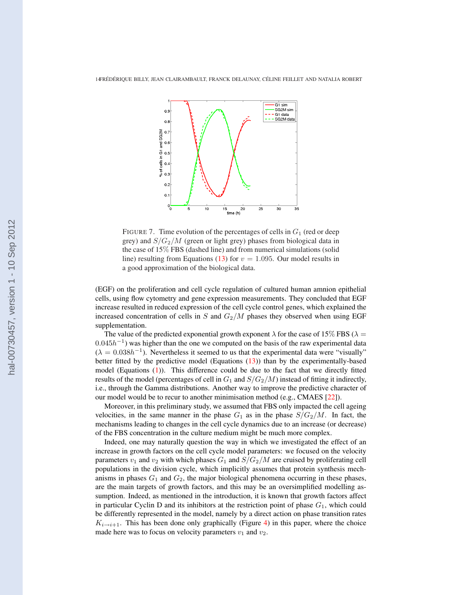

FIGURE 7. Time evolution of the percentages of cells in  $G_1$  (red or deep grey) and  $S/G_2/M$  (green or light grey) phases from biological data in the case of 15% FBS (dashed line) and from numerical simulations (solid line) resulting from Equations (13) for  $v = 1.095$ . Our model results in a good approximation of the biological data.

(EGF) on the proliferation and cell cycle regulation of cultured human amnion epithelial cells, using flow cytometry and gene expression measurements. They concluded that EGF increase resulted in reduced expression of the cell cycle control genes, which explained the increased concentration of cells in  $S$  and  $G_2/M$  phases they observed when using EGF supplementation.

The value of the predicted exponential growth exponent  $\lambda$  for the case of 15% FBS ( $\lambda$  =  $0.045h^{-1}$ ) was higher than the one we computed on the basis of the raw experimental data  $(\lambda = 0.038h^{-1})$ . Nevertheless it seemed to us that the experimental data were "visually" better fitted by the predictive model (Equations (13)) than by the experimentally-based model (Equations (1)). This difference could be due to the fact that we directly fitted results of the model (percentages of cell in  $G_1$  and  $S/G_2/M$ ) instead of fitting it indirectly, i.e., through the Gamma distributions. Another way to improve the predictive character of our model would be to recur to another minimisation method (e.g., CMAES [22]).

Moreover, in this preliminary study, we assumed that FBS only impacted the cell ageing velocities, in the same manner in the phase  $G_1$  as in the phase  $S/G_2/M$ . In fact, the mechanisms leading to changes in the cell cycle dynamics due to an increase (or decrease) of the FBS concentration in the culture medium might be much more complex.

Indeed, one may naturally question the way in which we investigated the effect of an increase in growth factors on the cell cycle model parameters: we focused on the velocity parameters  $v_1$  and  $v_2$  with which phases  $G_1$  and  $S/G_2/M$  are cruised by proliferating cell populations in the division cycle, which implicitly assumes that protein synthesis mechanisms in phases  $G_1$  and  $G_2$ , the major biological phenomena occurring in these phases, are the main targets of growth factors, and this may be an oversimplified modelling assumption. Indeed, as mentioned in the introduction, it is known that growth factors affect in particular Cyclin D and its inhibitors at the restriction point of phase  $G_1$ , which could be differently represented in the model, namely by a direct action on phase transition rates  $K_{i\rightarrow i+1}$ . This has been done only graphically (Figure 4) in this paper, where the choice made here was to focus on velocity parameters  $v_1$  and  $v_2$ .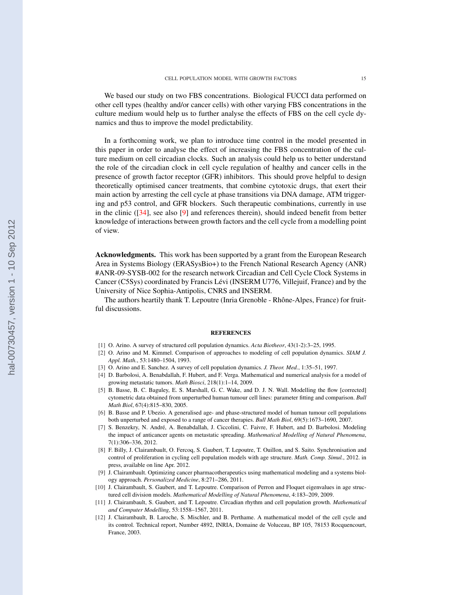We based our study on two FBS concentrations. Biological FUCCI data performed on other cell types (healthy and/or cancer cells) with other varying FBS concentrations in the culture medium would help us to further analyse the effects of FBS on the cell cycle dynamics and thus to improve the model predictability.

In a forthcoming work, we plan to introduce time control in the model presented in this paper in order to analyse the effect of increasing the FBS concentration of the culture medium on cell circadian clocks. Such an analysis could help us to better understand the role of the circadian clock in cell cycle regulation of healthy and cancer cells in the presence of growth factor receptor (GFR) inhibitors. This should prove helpful to design theoretically optimised cancer treatments, that combine cytotoxic drugs, that exert their main action by arresting the cell cycle at phase transitions via DNA damage, ATM triggering and p53 control, and GFR blockers. Such therapeutic combinations, currently in use in the clinic  $(34)$ , see also  $[9]$  and references therein), should indeed benefit from better knowledge of interactions between growth factors and the cell cycle from a modelling point of view.

Acknowledgments. This work has been supported by a grant from the European Research Area in Systems Biology (ERASysBio+) to the French National Research Agency (ANR) #ANR-09-SYSB-002 for the research network Circadian and Cell Cycle Clock Systems in Cancer (C5Sys) coordinated by Francis Lévi (INSERM U776, Villejuif, France) and by the University of Nice Sophia-Antipolis, CNRS and INSERM.

The authors heartily thank T. Lepoutre (Inria Grenoble - Rhône-Alpes, France) for fruitful discussions.

#### REFERENCES

- [1] O. Arino. A survey of structured cell population dynamics. *Acta Biotheor*, 43(1-2):3–25, 1995.
- [2] O. Arino and M. Kimmel. Comparison of approaches to modeling of cell population dynamics. *SIAM J. Appl. Math.*, 53:1480–1504, 1993.
- [3] O. Arino and E. Sanchez. A survey of cell population dynamics. *J. Theor. Med.*, 1:35–51, 1997.
- [4] D. Barbolosi, A. Benabdallah, F. Hubert, and F. Verga. Mathematical and numerical analysis for a model of growing metastatic tumors. *Math Biosci*, 218(1):1–14, 2009.
- [5] B. Basse, B. C. Baguley, E. S. Marshall, G. C. Wake, and D. J. N. Wall. Modelling the flow [corrected] cytometric data obtained from unperturbed human tumour cell lines: parameter fitting and comparison. *Bull Math Biol*, 67(4):815–830, 2005.
- [6] B. Basse and P. Ubezio. A generalised age- and phase-structured model of human tumour cell populations both unperturbed and exposed to a range of cancer therapies. *Bull Math Biol*, 69(5):1673–1690, 2007.
- [7] S. Benzekry, N. Andre, A. Benabdallah, J. Ciccolini, C. Faivre, F. Hubert, and D. Barbolosi. Modeling ´ the impact of anticancer agents on metastatic spreading. *Mathematical Modelling of Natural Phenomena*, 7(1):306–336, 2012.
- [8] F. Billy, J. Clairambault, O. Fercoq, S. Gaubert, T. Lepoutre, T. Ouillon, and S. Saito. Synchronisation and control of proliferation in cycling cell population models with age structure. *Math. Comp. Simul.*, 2012. in press, available on line Apr. 2012.
- [9] J. Clairambault. Optimizing cancer pharmacotherapeutics using mathematical modeling and a systems biology approach. *Personalized Medicine*, 8:271–286, 2011.
- [10] J. Clairambault, S. Gaubert, and T. Lepoutre. Comparison of Perron and Floquet eigenvalues in age structured cell division models. *Mathematical Modelling of Natural Phenomena*, 4:183–209, 2009.
- [11] J. Clairambault, S. Gaubert, and T. Lepoutre. Circadian rhythm and cell population growth. *Mathematical and Computer Modelling*, 53:1558–1567, 2011.
- [12] J. Clairambault, B. Laroche, S. Mischler, and B. Perthame. A mathematical model of the cell cycle and its control. Technical report, Number 4892, INRIA, Domaine de Voluceau, BP 105, 78153 Rocquencourt, France, 2003.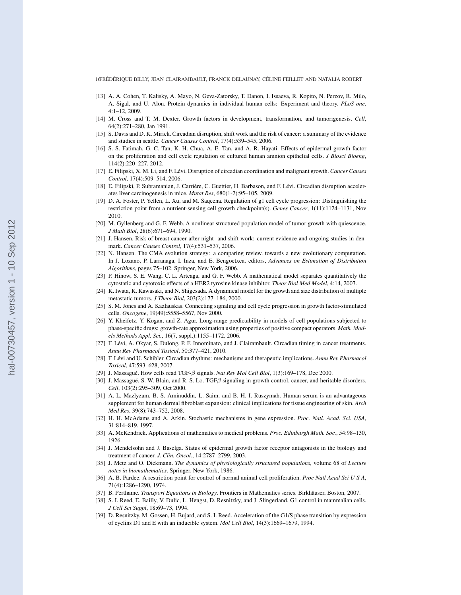16FRÉDÉRIQUE BILLY, JEAN CLAIRAMBAULT, FRANCK DELAUNAY, CÉLINE FEILLET AND NATALIA ROBERT

- [13] A. A. Cohen, T. Kalisky, A. Mayo, N. Geva-Zatorsky, T. Danon, I. Issaeva, R. Kopito, N. Perzov, R. Milo, A. Sigal, and U. Alon. Protein dynamics in individual human cells: Experiment and theory. *PLoS one*, 4:1–12, 2009.
- [14] M. Cross and T. M. Dexter. Growth factors in development, transformation, and tumorigenesis. *Cell*, 64(2):271–280, Jan 1991.
- [15] S. Davis and D. K. Mirick. Circadian disruption, shift work and the risk of cancer: a summary of the evidence and studies in seattle. *Cancer Causes Control*, 17(4):539–545, 2006.
- [16] S. S. Fatimah, G. C. Tan, K. H. Chua, A. E. Tan, and A. R. Hayati. Effects of epidermal growth factor on the proliferation and cell cycle regulation of cultured human amnion epithelial cells. *J Biosci Bioeng*, 114(2):220–227, 2012.
- [17] E. Filipski, X. M. Li, and F. Lévi. Disruption of circadian coordination and malignant growth. *Cancer Causes Control*, 17(4):509–514, 2006.
- [18] E. Filipski, P. Subramanian, J. Carrière, C. Guettier, H. Barbason, and F. Lévi. Circadian disruption accelerates liver carcinogenesis in mice. *Mutat Res*, 680(1-2):95–105, 2009.
- [19] D. A. Foster, P. Yellen, L. Xu, and M. Saqcena. Regulation of g1 cell cycle progression: Distinguishing the restriction point from a nutrient-sensing cell growth checkpoint(s). *Genes Cancer*, 1(11):1124–1131, Nov 2010.
- [20] M. Gyllenberg and G. F. Webb. A nonlinear structured population model of tumor growth with quiescence. *J Math Biol*, 28(6):671–694, 1990.
- [21] J. Hansen. Risk of breast cancer after night- and shift work: current evidence and ongoing studies in denmark. *Cancer Causes Control*, 17(4):531–537, 2006.
- [22] N. Hansen. The CMA evolution strategy: a comparing review. towards a new evolutionary computation. In J. Lozano, P. Larranaga, I. Inza, and E. Bengoetxea, editors, *Advances on Estimation of Distribution Algorithms*, pages 75–102. Springer, New York, 2006.
- [23] P. Hinow, S. E. Wang, C. L. Arteaga, and G. F. Webb. A mathematical model separates quantitatively the cytostatic and cytotoxic effects of a HER2 tyrosine kinase inhibitor. *Theor Biol Med Model*, 4:14, 2007.
- [24] K. Iwata, K. Kawasaki, and N. Shigesada. A dynamical model for the growth and size distribution of multiple metastatic tumors. *J Theor Biol*, 203(2):177–186, 2000.
- [25] S. M. Jones and A. Kazlauskas. Connecting signaling and cell cycle progression in growth factor-stimulated cells. *Oncogene*, 19(49):5558–5567, Nov 2000.
- [26] Y. Kheifetz, Y. Kogan, and Z. Agur. Long-range predictability in models of cell populations subjected to phase-specific drugs: growth-rate approximation using properties of positive compact operators. *Math. Models Methods Appl. Sci.*, 16(7, suppl.):1155–1172, 2006.
- [27] F. Lévi, A. Okyar, S. Dulong, P. F. Innominato, and J. Clairambault. Circadian timing in cancer treatments. *Annu Rev Pharmacol Toxicol*, 50:377–421, 2010.
- [28] F. Lévi and U. Schibler. Circadian rhythms: mechanisms and therapeutic implications. Annu Rev Pharmacol *Toxicol*, 47:593–628, 2007.
- [29] J. Massagué. How cells read TGF-β signals. *Nat Rev Mol Cell Biol*, 1(3):169–178, Dec 2000.
- [30] J. Massagué, S. W. Blain, and R. S. Lo. TGF $\beta$  signaling in growth control, cancer, and heritable disorders. *Cell*, 103(2):295–309, Oct 2000.
- [31] A. L. Mazlyzam, B. S. Aminuddin, L. Saim, and B. H. I. Ruszymah. Human serum is an advantageous supplement for human dermal fibroblast expansion: clinical implications for tissue engineering of skin. *Arch Med Res*, 39(8):743–752, 2008.
- [32] H. H. McAdams and A. Arkin. Stochastic mechanisms in gene expression. *Proc. Natl. Acad. Sci. USA*, 31:814–819, 1997.
- [33] A. McKendrick. Applications of mathematics to medical problems. *Proc. Edinburgh Math. Soc.*, 54:98–130, 1926.
- [34] J. Mendelsohn and J. Baselga. Status of epidermal growth factor receptor antagonists in the biology and treatment of cancer. *J. Clin. Oncol.*, 14:2787–2799, 2003.
- [35] J. Metz and O. Diekmann. *The dynamics of physiologically structured populations*, volume 68 of *Lecture notes in biomathematics*. Springer, New York, 1986.
- [36] A. B. Pardee. A restriction point for control of normal animal cell proliferation. *Proc Natl Acad Sci U S A*, 71(4):1286–1290, 1974.
- [37] B. Perthame. *Transport Equations in Biology*. Frontiers in Mathematics series. Birkhäuser, Boston, 2007.
- [38] S. I. Reed, E. Bailly, V. Dulic, L. Hengst, D. Resnitzky, and J. Slingerland. G1 control in mammalian cells. *J Cell Sci Suppl*, 18:69–73, 1994.
- [39] D. Resnitzky, M. Gossen, H. Bujard, and S. I. Reed. Acceleration of the G1/S phase transition by expression of cyclins D1 and E with an inducible system. *Mol Cell Biol*, 14(3):1669–1679, 1994.